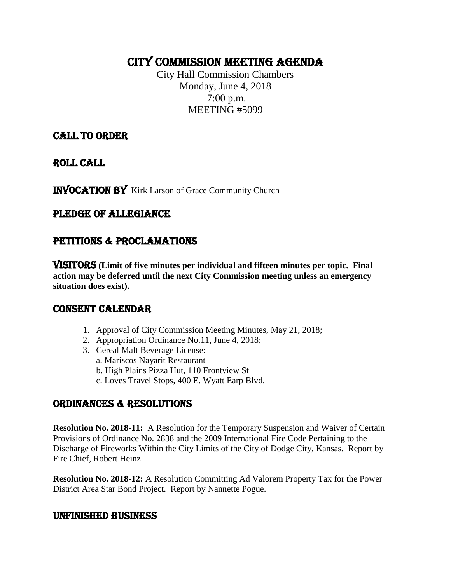# CITY COMMISSION MEETING AGENDA

City Hall Commission Chambers Monday, June 4, 2018 7:00 p.m. MEETING #5099

CALL TO ORDER

ROLL CALL

INVOCATION BY Kirk Larson of Grace Community Church

# PLEDGE OF ALLEGIANCE

# PETITIONS & PROCLAMATIONS

VISITORS **(Limit of five minutes per individual and fifteen minutes per topic. Final action may be deferred until the next City Commission meeting unless an emergency situation does exist).**

## CONSENT CALENDAR

- 1. Approval of City Commission Meeting Minutes, May 21, 2018;
- 2. Appropriation Ordinance No.11, June 4, 2018;
- 3. Cereal Malt Beverage License:
	- a. Mariscos Nayarit Restaurant
	- b. High Plains Pizza Hut, 110 Frontview St
	- c. Loves Travel Stops, 400 E. Wyatt Earp Blvd.

# ORDINANCES & RESOLUTIONS

**Resolution No. 2018-11:** A Resolution for the Temporary Suspension and Waiver of Certain Provisions of Ordinance No. 2838 and the 2009 International Fire Code Pertaining to the Discharge of Fireworks Within the City Limits of the City of Dodge City, Kansas. Report by Fire Chief, Robert Heinz.

**Resolution No. 2018-12:** A Resolution Committing Ad Valorem Property Tax for the Power District Area Star Bond Project. Report by Nannette Pogue.

## UNFINISHED BUSINESS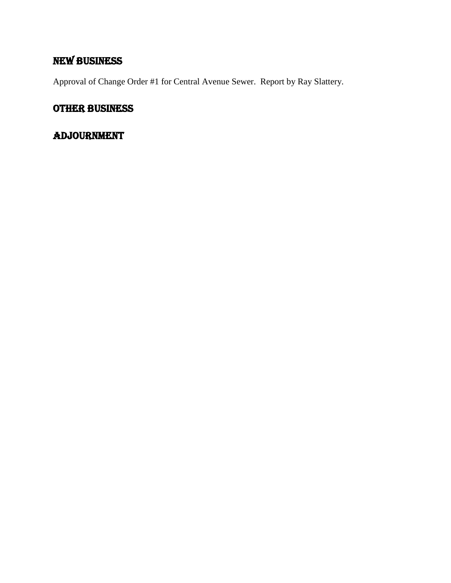# NEW BUSINESS

Approval of Change Order #1 for Central Avenue Sewer. Report by Ray Slattery.

# OTHER BUSINESS

# ADJOURNMENT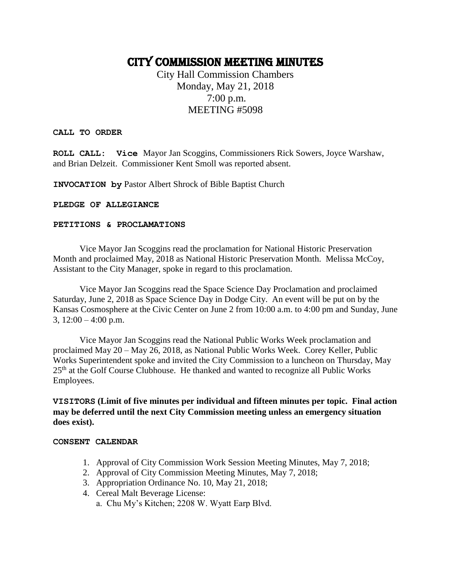# CITY COMMISSION MEETING MINUTES

City Hall Commission Chambers Monday, May 21, 2018 7:00 p.m. MEETING #5098

#### **CALL TO ORDER**

**ROLL CALL: Vice** Mayor Jan Scoggins, Commissioners Rick Sowers, Joyce Warshaw, and Brian Delzeit. Commissioner Kent Smoll was reported absent.

**INVOCATION by** Pastor Albert Shrock of Bible Baptist Church

#### **PLEDGE OF ALLEGIANCE**

#### **PETITIONS & PROCLAMATIONS**

Vice Mayor Jan Scoggins read the proclamation for National Historic Preservation Month and proclaimed May, 2018 as National Historic Preservation Month. Melissa McCoy, Assistant to the City Manager, spoke in regard to this proclamation.

Vice Mayor Jan Scoggins read the Space Science Day Proclamation and proclaimed Saturday, June 2, 2018 as Space Science Day in Dodge City. An event will be put on by the Kansas Cosmosphere at the Civic Center on June 2 from 10:00 a.m. to 4:00 pm and Sunday, June 3,  $12:00 - 4:00$  p.m.

Vice Mayor Jan Scoggins read the National Public Works Week proclamation and proclaimed May 20 – May 26, 2018, as National Public Works Week. Corey Keller, Public Works Superintendent spoke and invited the City Commission to a luncheon on Thursday, May 25<sup>th</sup> at the Golf Course Clubhouse. He thanked and wanted to recognize all Public Works Employees.

**VISITORS (Limit of five minutes per individual and fifteen minutes per topic. Final action may be deferred until the next City Commission meeting unless an emergency situation does exist).**

#### **CONSENT CALENDAR**

- 1. Approval of City Commission Work Session Meeting Minutes, May 7, 2018;
- 2. Approval of City Commission Meeting Minutes, May 7, 2018;
- 3. Appropriation Ordinance No. 10, May 21, 2018;
- 4. Cereal Malt Beverage License:
	- a. Chu My's Kitchen; 2208 W. Wyatt Earp Blvd.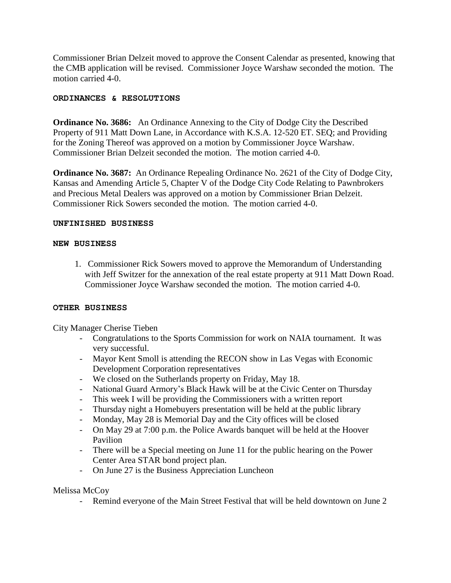Commissioner Brian Delzeit moved to approve the Consent Calendar as presented, knowing that the CMB application will be revised. Commissioner Joyce Warshaw seconded the motion. The motion carried 4-0.

#### **ORDINANCES & RESOLUTIONS**

**Ordinance No. 3686:** An Ordinance Annexing to the City of Dodge City the Described Property of 911 Matt Down Lane, in Accordance with K.S.A. 12-520 ET. SEQ; and Providing for the Zoning Thereof was approved on a motion by Commissioner Joyce Warshaw. Commissioner Brian Delzeit seconded the motion. The motion carried 4-0.

**Ordinance No. 3687:** An Ordinance Repealing Ordinance No. 2621 of the City of Dodge City, Kansas and Amending Article 5, Chapter V of the Dodge City Code Relating to Pawnbrokers and Precious Metal Dealers was approved on a motion by Commissioner Brian Delzeit. Commissioner Rick Sowers seconded the motion. The motion carried 4-0.

#### **UNFINISHED BUSINESS**

#### **NEW BUSINESS**

 1. Commissioner Rick Sowers moved to approve the Memorandum of Understanding with Jeff Switzer for the annexation of the real estate property at 911 Matt Down Road. Commissioner Joyce Warshaw seconded the motion. The motion carried 4-0.

#### **OTHER BUSINESS**

City Manager Cherise Tieben

- Congratulations to the Sports Commission for work on NAIA tournament. It was very successful.
- Mayor Kent Smoll is attending the RECON show in Las Vegas with Economic Development Corporation representatives
- We closed on the Sutherlands property on Friday, May 18.
- National Guard Armory's Black Hawk will be at the Civic Center on Thursday
- This week I will be providing the Commissioners with a written report
- Thursday night a Homebuyers presentation will be held at the public library
- Monday, May 28 is Memorial Day and the City offices will be closed
- On May 29 at 7:00 p.m. the Police Awards banquet will be held at the Hoover Pavilion
- There will be a Special meeting on June 11 for the public hearing on the Power Center Area STAR bond project plan.
- On June 27 is the Business Appreciation Luncheon

#### Melissa McCoy

- Remind everyone of the Main Street Festival that will be held downtown on June 2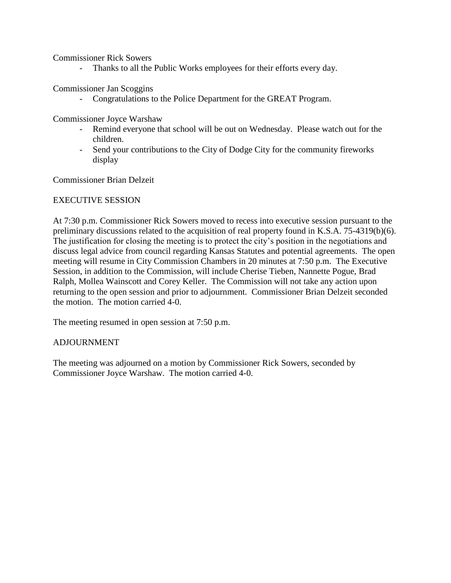Commissioner Rick Sowers

- Thanks to all the Public Works employees for their efforts every day.

Commissioner Jan Scoggins

- Congratulations to the Police Department for the GREAT Program.

Commissioner Joyce Warshaw

- Remind everyone that school will be out on Wednesday. Please watch out for the children.
- Send your contributions to the City of Dodge City for the community fireworks display

Commissioner Brian Delzeit

#### EXECUTIVE SESSION

At 7:30 p.m. Commissioner Rick Sowers moved to recess into executive session pursuant to the preliminary discussions related to the acquisition of real property found in K.S.A. 75-4319(b)(6). The justification for closing the meeting is to protect the city's position in the negotiations and discuss legal advice from council regarding Kansas Statutes and potential agreements. The open meeting will resume in City Commission Chambers in 20 minutes at 7:50 p.m. The Executive Session, in addition to the Commission, will include Cherise Tieben, Nannette Pogue, Brad Ralph, Mollea Wainscott and Corey Keller. The Commission will not take any action upon returning to the open session and prior to adjournment. Commissioner Brian Delzeit seconded the motion. The motion carried 4-0.

The meeting resumed in open session at 7:50 p.m.

#### ADJOURNMENT

The meeting was adjourned on a motion by Commissioner Rick Sowers, seconded by Commissioner Joyce Warshaw. The motion carried 4-0.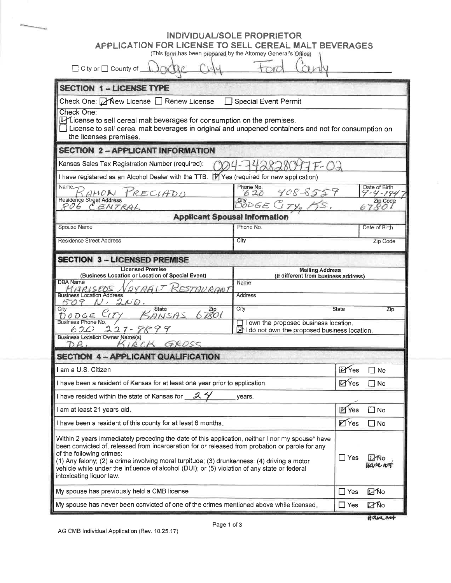| APPLICATION FOR LICENSE TO SELL CEREAL MALT BEVERAGES<br>(This form has been prepared by the Attorney General's Office)                                                                                                         | <b>INDIVIDUAL/SOLE PROPRIETOR</b>                                                       |               |                                |
|---------------------------------------------------------------------------------------------------------------------------------------------------------------------------------------------------------------------------------|-----------------------------------------------------------------------------------------|---------------|--------------------------------|
| □ City or □ County of                                                                                                                                                                                                           |                                                                                         |               |                                |
| <b>SECTION 1-LICENSE TYPE</b>                                                                                                                                                                                                   |                                                                                         |               |                                |
| Check One: Ø New License □ Renew License                                                                                                                                                                                        | <b>Special Event Permit</b>                                                             |               |                                |
| Check One:<br>L'Eicense to sell cereal malt beverages for consumption on the premises.<br>License to sell cereal malt beverages in original and unopened containers and not for consumption on<br>the licenses premises.        |                                                                                         |               |                                |
| <b>SECTION 2 - APPLICANT INFORMATION</b>                                                                                                                                                                                        |                                                                                         |               |                                |
| Kansas Sales Tax Registration Number (required):                                                                                                                                                                                | 2828017F-03                                                                             |               |                                |
| I have registered as an Alcohol Dealer with the TTB. [7] Yes (required for new application)                                                                                                                                     |                                                                                         |               |                                |
| Name.<br>PRECIADO<br>$K$ AMON                                                                                                                                                                                                   | Phone No.<br>408-8559<br>620                                                            |               | Date of Birth<br>$9 - 4 - 194$ |
| Residence Street Address<br>806 CENTRAL                                                                                                                                                                                         | $\frac{City}{DODE}$<br>$C_{ITY_n}$<br>KS.                                               |               | 67801                          |
| <b>Applicant Spousal Information</b>                                                                                                                                                                                            |                                                                                         |               |                                |
| Spouse Name                                                                                                                                                                                                                     | Phone No.                                                                               |               | Date of Birth                  |
| <b>Residence Street Address</b>                                                                                                                                                                                                 | City                                                                                    |               | Zip Code                       |
| (Business Location or Location of Special Event)<br>DBA Name                                                                                                                                                                    | (If different from business address)<br>Name                                            |               |                                |
| MARISCOS<br>ESTAURANT                                                                                                                                                                                                           |                                                                                         |               |                                |
| <b>Business Location Address</b><br>2ND.<br>9<br>$\mathcal{N}$ ,<br>6 O                                                                                                                                                         | <b>Address</b>                                                                          |               |                                |
| <b>State</b><br>67801<br>City<br>ANSAS<br>DOGGE                                                                                                                                                                                 | City                                                                                    | <b>State</b>  |                                |
| Business Phone No.<br>$27 - 889$<br>620                                                                                                                                                                                         | I lown the proposed business location.<br>FI do not own the proposed business location. |               |                                |
| Business Location Owner Name(s)<br>KIRCK GROSS<br>DR.                                                                                                                                                                           |                                                                                         |               |                                |
| <b>SECTION 4 - APPLICANT QUALIFICATION</b>                                                                                                                                                                                      |                                                                                         |               |                                |
| I am a U.S. Citizen                                                                                                                                                                                                             |                                                                                         | <b>ZYes</b>   | $\Box$ No                      |
| I have been a resident of Kansas for at least one year prior to application.                                                                                                                                                    |                                                                                         | <b>D</b> Yes  | $\Box$ No                      |
| I have resided within the state of Kansas for 3                                                                                                                                                                                 | years.                                                                                  |               |                                |
| I am at least 21 years old.                                                                                                                                                                                                     |                                                                                         | <b>M</b> Yes  | $\square$ No                   |
| I have been a resident of this county for at least 6 months.                                                                                                                                                                    |                                                                                         | <b>Z</b> Yes  | $\Box$ No                      |
| Within 2 years immediately preceding the date of this application, neither I nor my spouse* have<br>been convicted of, released from incarceration for or released from probation or parole for any<br>of the following crimes: |                                                                                         | $\square$ Yes | i No<br>lave not               |
| (1) Any felony; (2) a crime involving moral turpitude; (3) drunkenness: (4) driving a motor<br>vehicle while under the influence of alcohol (DUI); or (5) violation of any state or federal<br>intoxicating liquor law.         |                                                                                         |               |                                |
| My spouse has previously held a CMB license.                                                                                                                                                                                    |                                                                                         | $\square$ Yes | <b>口No</b>                     |

Havenet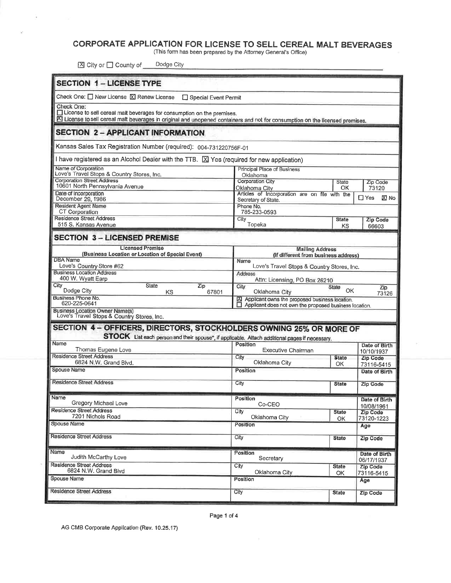### CORPORATE APPLICATION FOR LICENSE TO SELL CEREAL MALT BEVERAGES

(This form has been prepared by the Attorney General's Office)

⊠ City or □ County of Dodge City

| <b>SECTION 1 - LICENSE TYPE</b>                                                                                                |                                                                                                                             |                    |                             |
|--------------------------------------------------------------------------------------------------------------------------------|-----------------------------------------------------------------------------------------------------------------------------|--------------------|-----------------------------|
|                                                                                                                                |                                                                                                                             |                    |                             |
| Check One: O New License <b>X</b> Renew License □ Special Event Permit                                                         |                                                                                                                             |                    |                             |
| Check One:<br>License to sell cereal malt beverages for consumption on the premises.                                           |                                                                                                                             |                    |                             |
| XI License to sell cereal malt beverages in original and unopened containers and not for consumption on the licensed premises. |                                                                                                                             |                    |                             |
| <b>SECTION 2 - APPLICANT INFORMATION</b>                                                                                       |                                                                                                                             |                    |                             |
| Kansas Sales Tax Registration Number (required): 004-731220756F-01                                                             |                                                                                                                             |                    |                             |
| I have registered as an Alcohol Dealer with the TTB. $[X]$ Yes (required for new application)                                  |                                                                                                                             |                    |                             |
| Name of Corporation<br>Love's Travel Stops & Country Stores, Inc.                                                              | Principal Place of Business<br>Oklahoma                                                                                     |                    |                             |
| <b>Corporation Street Address</b><br>10601 North Pennsylvania Avenue                                                           | Corporation City<br>Oklahoma Citv                                                                                           | State<br>ОΚ        | Zip Code<br>73120           |
| Date of Incorporation<br>December 29, 1986                                                                                     | Articles of Incorporation are on file with the                                                                              |                    | $\Box$ Yes<br><b>XI</b> No  |
| Resident Agent Name                                                                                                            | Secretary of State.<br>Phone No.                                                                                            |                    |                             |
| CT Corporation<br><b>Residence Street Address</b>                                                                              | 785-233-0593<br>City                                                                                                        | <b>State</b>       | <b>Zip Code</b>             |
| 515 S. Kansas Avenue                                                                                                           | Topeka                                                                                                                      | ΚS                 | 66603                       |
| <b>SECTION 3 - LICENSED PREMISE</b>                                                                                            |                                                                                                                             |                    |                             |
| <b>Licensed Premise</b><br>(Business Location or Location of Special Event)                                                    | <b>Mailing Address</b><br>(If different from business address)                                                              |                    |                             |
| <b>DBA</b> Name<br>Love's Country Store #62                                                                                    | Name<br>Love's Travel Stops & Country Stores, Inc.                                                                          |                    |                             |
| <b>Business Location Address</b><br>400 W. Wyatt Earp                                                                          | Address<br>Attn: Licensing, PO Box 26210                                                                                    |                    |                             |
| City<br>State<br>Zip<br>Dodge City                                                                                             | City                                                                                                                        | State<br><b>OK</b> | Zip                         |
| KS<br>67801<br>Business Phone No.<br>620-225-0641                                                                              | Oklahoma City<br>X Applicant owns the proposed business location.<br>Applicant does not own the proposed business location. |                    | 73126                       |
| <b>Business Location Owner Name(s)</b><br>Love's Travel Stops & Country Stores, Inc.                                           |                                                                                                                             |                    |                             |
| SECTION 4 - OFFICERS, DIRECTORS, STOCKHOLDERS OWNING 25% OR MORE OF                                                            |                                                                                                                             |                    |                             |
| STOCK List each person and their spouse*, if applicable. Attach additional pages if necessary.                                 |                                                                                                                             |                    |                             |
| Name<br>Thomas Eugene Love                                                                                                     | Position<br>Executive Chairman                                                                                              |                    | Date of Birth               |
| <b>Residence Street Address</b>                                                                                                | City                                                                                                                        | <b>State</b>       | 10/10/1937<br>Zip Code      |
| 6824 N.W. Grand Blvd.<br>Spouse Name                                                                                           | Oklahoma City<br>Position                                                                                                   | ОК                 | 73116-5415<br>Date of Birth |
| <b>Residence Street Address</b>                                                                                                | City                                                                                                                        |                    |                             |
|                                                                                                                                |                                                                                                                             | <b>State</b>       | Zip Code                    |
| Name<br>Gregory Michael Love                                                                                                   | Position<br>Co-CEO                                                                                                          |                    | Date of Birth               |
| Residence Street Address                                                                                                       | City                                                                                                                        | <b>State</b>       | 10/08/1961<br>Zip Code      |
| 7201 Nichols Road<br>Spouse Name                                                                                               | Oklahoma City<br>Position                                                                                                   | OK                 | 73120-1223<br>Age           |
| <b>Residence Street Address</b>                                                                                                | City                                                                                                                        |                    |                             |
|                                                                                                                                |                                                                                                                             | <b>State</b>       | <b>Zip Code</b>             |
| Name<br>Judith McCarthy Love                                                                                                   | Position<br>Secretary                                                                                                       |                    | Date of Birth<br>06/17/1937 |
| <b>Residence Street Address</b><br>6824 N.W. Grand Blvd                                                                        | City                                                                                                                        | <b>State</b>       | Zip Code                    |
| Spouse Name                                                                                                                    | Oklahoma City<br>Position                                                                                                   | OK                 | 73116-5415<br>Age           |
| <b>Residence Street Address</b>                                                                                                | City                                                                                                                        | <b>State</b>       | Zip Code                    |
|                                                                                                                                |                                                                                                                             |                    |                             |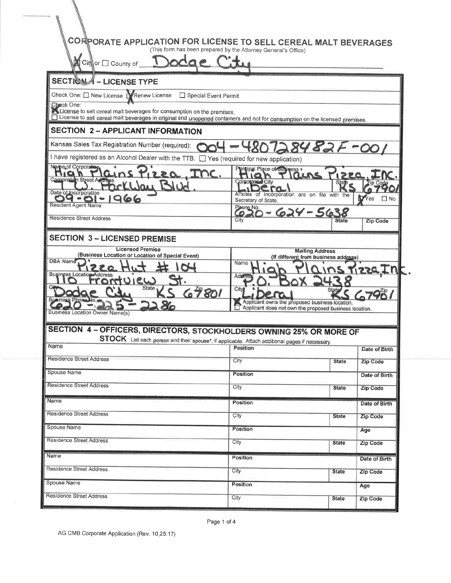| CORPORATE APPLICATION FOR LICENSE TO SELL CEREAL MALT BEVERAGES                                                                                                                                       |                                                                                                          |                                                                |                          |
|-------------------------------------------------------------------------------------------------------------------------------------------------------------------------------------------------------|----------------------------------------------------------------------------------------------------------|----------------------------------------------------------------|--------------------------|
|                                                                                                                                                                                                       | (This form has been prepared by the Attorney General's Office)                                           |                                                                |                          |
| ■ Cit or □ County of                                                                                                                                                                                  |                                                                                                          |                                                                |                          |
| <b>SECTION 4 - LICENSE TYPE</b>                                                                                                                                                                       |                                                                                                          |                                                                |                          |
| Check One: O New License N Renew License<br>Special Event Permit                                                                                                                                      |                                                                                                          |                                                                |                          |
| Check One:                                                                                                                                                                                            |                                                                                                          |                                                                |                          |
| License to sell cereal malt beverages for consumption on the premises.<br>License to sell cereal malt beverages in original and unopened containers and not for consumption on the licensed premises. |                                                                                                          |                                                                |                          |
| <b>SECTION 2 - APPLICANT INFORMATION</b>                                                                                                                                                              |                                                                                                          |                                                                |                          |
| Kansas Sales Tax Registration Number (required):                                                                                                                                                      |                                                                                                          | 28482                                                          |                          |
| I have registered as an Alcohol Dealer with the TTB. [ ] Yes (required for new application)                                                                                                           |                                                                                                          |                                                                |                          |
| Neme of Corporation<br>LEQ INC.<br>AC                                                                                                                                                                 | Principal Place of Business .                                                                            |                                                                |                          |
| Corooration Street Address<br>Cline                                                                                                                                                                   | an<br>Corporation City                                                                                   | <b>State</b>                                                   |                          |
| Date of Incorporation<br>966                                                                                                                                                                          | .га<br>Articles of Incorporation are on file with the                                                    |                                                                | <b>D</b> Yes <b>I</b> No |
| <b>Resident Agent Name</b>                                                                                                                                                                            | Secretary of State.<br>Phone No.                                                                         | $20 - 624 - 5638$                                              |                          |
| <b>Residence Street Address</b>                                                                                                                                                                       | $\epsilon$<br>City                                                                                       | <b>State</b>                                                   | Zip Code                 |
|                                                                                                                                                                                                       |                                                                                                          |                                                                |                          |
| <b>SECTION 3 - LICENSED PREMISE</b><br><b>Licensed Premise</b>                                                                                                                                        |                                                                                                          |                                                                |                          |
| (Business Location or Location of Special Event)<br>DBA Name                                                                                                                                          |                                                                                                          | <b>Mailing Address</b><br>(If different from business address) |                          |
| <b>Business Location Address</b>                                                                                                                                                                      | Name                                                                                                     |                                                                | <u> Kizza In</u>         |
| $O(2\omega)$                                                                                                                                                                                          | Addres                                                                                                   |                                                                |                          |
| State <sub>1</sub><br>67801                                                                                                                                                                           | City                                                                                                     | State                                                          | 67901                    |
| <b>Business Location Owner Name(s)</b>                                                                                                                                                                | Applicant owns the proposed business location.<br>Applicant does not own the proposed business location. |                                                                |                          |
|                                                                                                                                                                                                       |                                                                                                          |                                                                |                          |
| SECTION 4 - OFFICERS, DIRECTORS, STOCKHOLDERS OWNING 25% OR MORE OF                                                                                                                                   |                                                                                                          |                                                                |                          |
| STOCK List each person and their spouse*, if applicable. Attach additional pages if necessary.<br>Name                                                                                                | Position                                                                                                 |                                                                | Date of Birth            |
| Residence Street Address                                                                                                                                                                              | City                                                                                                     | <b>State</b>                                                   | <b>Zip Code</b>          |
| Spouse Name                                                                                                                                                                                           | Position                                                                                                 |                                                                | Date of Birth            |
| <b>Residence Street Address</b>                                                                                                                                                                       | City                                                                                                     | <b>State</b>                                                   | Zip Code                 |
| Name                                                                                                                                                                                                  |                                                                                                          |                                                                |                          |
| <b>Residence Street Address</b>                                                                                                                                                                       | <b>Position</b>                                                                                          |                                                                | Date of Birth            |
|                                                                                                                                                                                                       | City                                                                                                     | <b>State</b>                                                   | Zip Code                 |
| Spouse Name                                                                                                                                                                                           | Position                                                                                                 |                                                                | Age                      |
| Residence Street Address                                                                                                                                                                              | City                                                                                                     | <b>State</b>                                                   | Zip Code                 |
| Name                                                                                                                                                                                                  | Position                                                                                                 |                                                                | Date of Birth            |
| <b>Residence Street Address</b>                                                                                                                                                                       | City                                                                                                     | <b>State</b>                                                   | Zip Code                 |
| Spouse Name                                                                                                                                                                                           | Position                                                                                                 |                                                                | Age                      |
|                                                                                                                                                                                                       |                                                                                                          |                                                                |                          |

Page 1 of 4

AG CMB Corporate Application (Rev. 10.25.17)

 $\bar{\varepsilon}$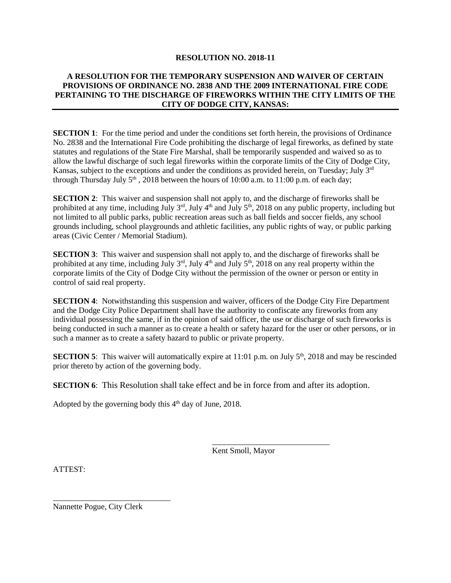#### **RESOLUTION NO. 2018-11**

#### **A RESOLUTION FOR THE TEMPORARY SUSPENSION AND WAIVER OF CERTAIN PROVISIONS OF ORDINANCE NO. 2838 AND THE 2009 INTERNATIONAL FIRE CODE PERTAINING TO THE DISCHARGE OF FIREWORKS WITHIN THE CITY LIMITS OF THE CITY OF DODGE CITY, KANSAS:**

**SECTION 1**: For the time period and under the conditions set forth herein, the provisions of Ordinance No. 2838 and the International Fire Code prohibiting the discharge of legal fireworks, as defined by state statutes and regulations of the State Fire Marshal, shall be temporarily suspended and waived so as to allow the lawful discharge of such legal fireworks within the corporate limits of the City of Dodge City, Kansas, subject to the exceptions and under the conditions as provided herein, on Tuesday; July 3<sup>rd</sup> through Thursday July  $5<sup>th</sup>$ , 2018 between the hours of 10:00 a.m. to 11:00 p.m. of each day;

**SECTION 2**: This waiver and suspension shall not apply to, and the discharge of fireworks shall be prohibited at any time, including July 3<sup>rd</sup>, July 4<sup>th</sup> and July 5<sup>th</sup>, 2018 on any public property, including but not limited to all public parks, public recreation areas such as ball fields and soccer fields, any school grounds including, school playgrounds and athletic facilities, any public rights of way, or public parking areas (Civic Center / Memorial Stadium).

**SECTION 3**: This waiver and suspension shall not apply to, and the discharge of fireworks shall be prohibited at any time, including July 3<sup>rd</sup>, July 4<sup>th</sup> and July 5<sup>th</sup>, 2018 on any real property within the corporate limits of the City of Dodge City without the permission of the owner or person or entity in control of said real property.

**SECTION 4:** Notwithstanding this suspension and waiver, officers of the Dodge City Fire Department and the Dodge City Police Department shall have the authority to confiscate any fireworks from any individual possessing the same, if in the opinion of said officer, the use or discharge of such fireworks is being conducted in such a manner as to create a health or safety hazard for the user or other persons, or in such a manner as to create a safety hazard to public or private property.

**SECTION 5**: This waiver will automatically expire at 11:01 p.m. on July 5<sup>th</sup>, 2018 and may be rescinded prior thereto by action of the governing body.

**SECTION 6:** This Resolution shall take effect and be in force from and after its adoption.

Adopted by the governing body this 4<sup>th</sup> day of June, 2018.

Kent Smoll, Mayor

\_\_\_\_\_\_\_\_\_\_\_\_\_\_\_\_\_\_\_\_\_\_\_\_\_\_\_\_\_

ATTEST:

Nannette Pogue, City Clerk

\_\_\_\_\_\_\_\_\_\_\_\_\_\_\_\_\_\_\_\_\_\_\_\_\_\_\_\_\_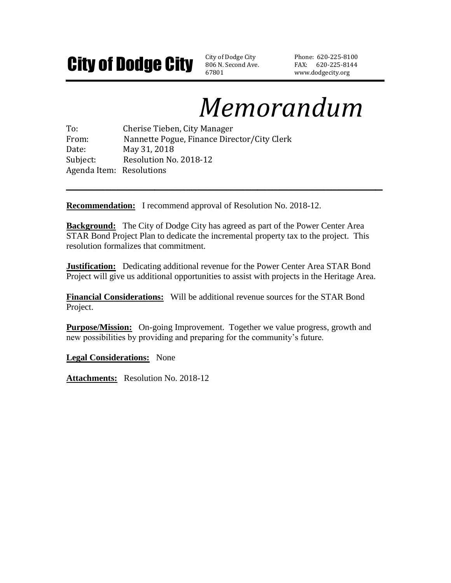# **City of Dodge City** SO6 N. Second Ave

806 N. Second Ave. 67801

Phone: 620-225-8100 FAX: 620-225-8144 www.dodgecity.org

# *Memorandum*

To: Cherise Tieben, City Manager From: Nannette Pogue, Finance Director/City Clerk Date: May 31, 2018 Subject: Resolution No. 2018-12 Agenda Item: Resolutions

**Recommendation:** I recommend approval of Resolution No. 2018-12.

**Background:** The City of Dodge City has agreed as part of the Power Center Area STAR Bond Project Plan to dedicate the incremental property tax to the project. This resolution formalizes that commitment.

**\_\_\_\_\_\_\_\_\_\_\_\_\_\_\_\_\_\_\_\_\_\_\_\_\_\_\_\_\_\_\_\_\_\_\_\_\_\_\_\_\_\_\_**

**Justification:** Dedicating additional revenue for the Power Center Area STAR Bond Project will give us additional opportunities to assist with projects in the Heritage Area.

**Financial Considerations:** Will be additional revenue sources for the STAR Bond Project.

**Purpose/Mission:** On-going Improvement. Together we value progress, growth and new possibilities by providing and preparing for the community's future.

**Legal Considerations:** None

**Attachments:** Resolution No. 2018-12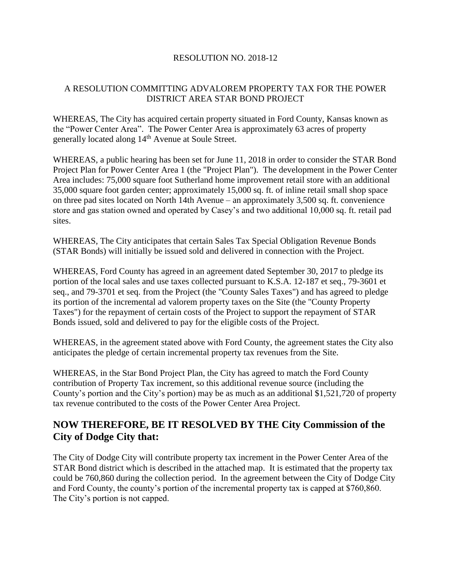#### RESOLUTION NO. 2018-12

#### A RESOLUTION COMMITTING ADVALOREM PROPERTY TAX FOR THE POWER DISTRICT AREA STAR BOND PROJECT

WHEREAS, The City has acquired certain property situated in Ford County, Kansas known as the "Power Center Area". The Power Center Area is approximately 63 acres of property generally located along 14<sup>th</sup> Avenue at Soule Street.

WHEREAS, a public hearing has been set for June 11, 2018 in order to consider the STAR Bond Project Plan for Power Center Area 1 (the "Project Plan"). The development in the Power Center Area includes: 75,000 square foot Sutherland home improvement retail store with an additional 35,000 square foot garden center; approximately 15,000 sq. ft. of inline retail small shop space on three pad sites located on North 14th Avenue – an approximately 3,500 sq. ft. convenience store and gas station owned and operated by Casey's and two additional 10,000 sq. ft. retail pad sites.

WHEREAS, The City anticipates that certain Sales Tax Special Obligation Revenue Bonds (STAR Bonds) will initially be issued sold and delivered in connection with the Project.

WHEREAS, Ford County has agreed in an agreement dated September 30, 2017 to pledge its portion of the local sales and use taxes collected pursuant to K.S.A. 12-187 et seq., 79-3601 et seq., and 79-3701 et seq. from the Project (the "County Sales Taxes") and has agreed to pledge its portion of the incremental ad valorem property taxes on the Site (the "County Property Taxes") for the repayment of certain costs of the Project to support the repayment of STAR Bonds issued, sold and delivered to pay for the eligible costs of the Project.

WHEREAS, in the agreement stated above with Ford County, the agreement states the City also anticipates the pledge of certain incremental property tax revenues from the Site.

WHEREAS, in the Star Bond Project Plan, the City has agreed to match the Ford County contribution of Property Tax increment, so this additional revenue source (including the County's portion and the City's portion) may be as much as an additional \$1,521,720 of property tax revenue contributed to the costs of the Power Center Area Project.

## **NOW THEREFORE, BE IT RESOLVED BY THE City Commission of the City of Dodge City that:**

The City of Dodge City will contribute property tax increment in the Power Center Area of the STAR Bond district which is described in the attached map. It is estimated that the property tax could be 760,860 during the collection period. In the agreement between the City of Dodge City and Ford County, the county's portion of the incremental property tax is capped at \$760,860. The City's portion is not capped.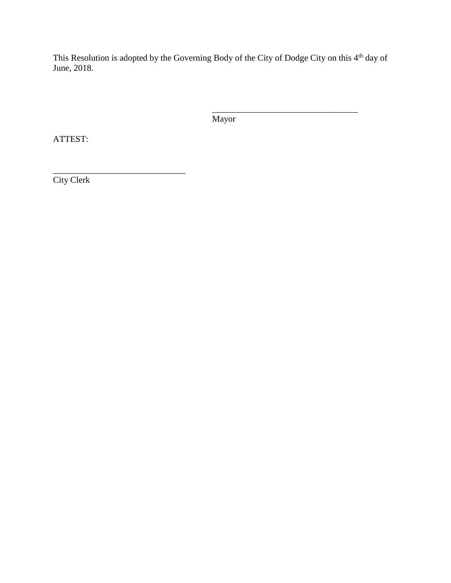This Resolution is adopted by the Governing Body of the City of Dodge City on this 4<sup>th</sup> day of June, 2018.

Mayor

\_\_\_\_\_\_\_\_\_\_\_\_\_\_\_\_\_\_\_\_\_\_\_\_\_\_\_\_\_\_\_\_\_

ATTEST:

\_\_\_\_\_\_\_\_\_\_\_\_\_\_\_\_\_\_\_\_\_\_\_\_\_\_\_\_\_\_ City Clerk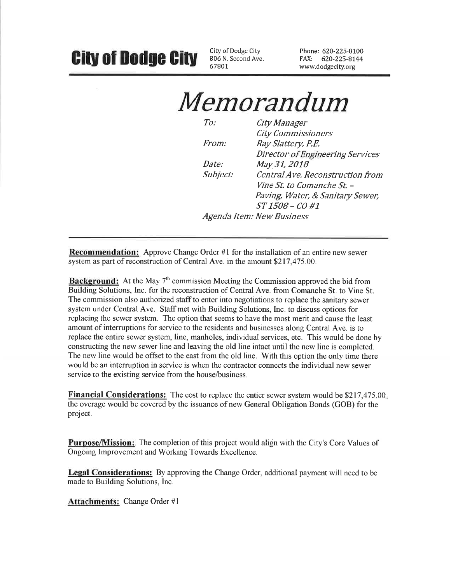# **City of Dodge City**

City of Dodge City 806 N. Second Ave. 67801

Phone: 620-225-8100 FAX: 620-225-8144 www.dodgecity.org

# Memorandum

| To:      | City Manager                      |
|----------|-----------------------------------|
|          | <b>City Commissioners</b>         |
| From:    | Ray Slattery, P.E.                |
|          | Director of Engineering Services  |
| Date:    | May 31, 2018                      |
| Subject: | Central Ave. Reconstruction from  |
|          | <i>Vine St. to Comanche St. –</i> |
|          | Paving, Water, & Sanitary Sewer,  |
|          | ST 1508 - CO #1                   |
|          | Agenda Item: New Business         |
|          |                                   |

**Recommendation:** Approve Change Order #1 for the installation of an entire new sewer system as part of reconstruction of Central Ave. in the amount \$217,475.00.

**Background:** At the May 7<sup>th</sup> commission Meeting the Commission approved the bid from Building Solutions, Inc. for the reconstruction of Central Ave. from Comanche St. to Vine St. The commission also authorized staff to enter into negotiations to replace the sanitary sewer system under Central Ave. Staff met with Building Solutions, Inc. to discuss options for replacing the sewer system. The option that seems to have the most merit and cause the least amount of interruptions for service to the residents and businesses along Central Ave. is to replace the entire sewer system, line, manholes, individual services, etc. This would be done by constructing the new sewer line and leaving the old line intact until the new line is completed. The new line would be offset to the east from the old line. With this option the only time there would be an interruption in service is when the contractor connects the individual new sewer service to the existing service from the house/business.

**Financial Considerations:** The cost to replace the entier sewer system would be \$217,475.00. the overage would be covered by the issuance of new General Obligation Bonds (GOB) for the project.

**Purpose/Mission:** The completion of this project would align with the City's Core Values of Ongoing Improvement and Working Towards Excellence.

Legal Considerations: By approving the Change Order, additional payment will need to be made to Building Solutions, Inc.

**Attachments:** Change Order #1